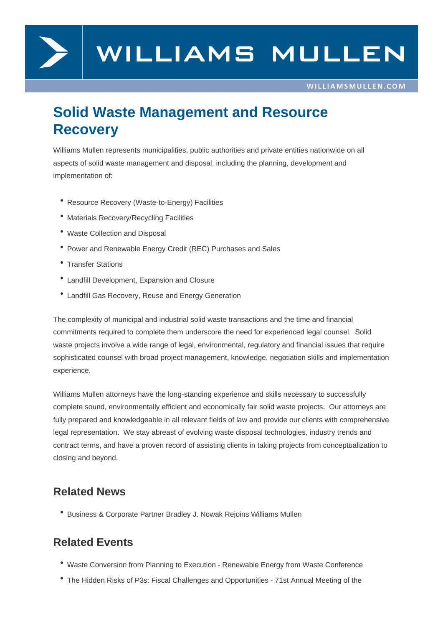

## **Solid Waste Management and Resource Recovery**

Williams Mullen represents municipalities, public authorities and private entities nationwide on all aspects of solid waste management and disposal, including the planning, development and implementation of:

- Resource Recovery (Waste-to-Energy) Facilities
- Materials Recovery/Recycling Facilities
- Waste Collection and Disposal
- Power and Renewable Energy Credit (REC) Purchases and Sales
- Transfer Stations
- Landfill Development, Expansion and Closure
- Landfill Gas Recovery, Reuse and Energy Generation

The complexity of municipal and industrial solid waste transactions and the time and financial commitments required to complete them underscore the need for experienced legal counsel. Solid waste projects involve a wide range of legal, environmental, regulatory and financial issues that require sophisticated counsel with broad project management, knowledge, negotiation skills and implementation experience.

Williams Mullen attorneys have the long-standing experience and skills necessary to successfully complete sound, environmentally efficient and economically fair solid waste projects. Our attorneys are fully prepared and knowledgeable in all relevant fields of law and provide our clients with comprehensive legal representation. We stay abreast of evolving waste disposal technologies, industry trends and contract terms, and have a proven record of assisting clients in taking projects from conceptualization to closing and beyond.

## **Related News**

Business & Corporate Partner Bradley J. Nowak Rejoins Williams Mullen

## **Related Events**

- Waste Conversion from Planning to Execution Renewable Energy from Waste Conference
- The Hidden Risks of P3s: Fiscal Challenges and Opportunities 71st Annual Meeting of the